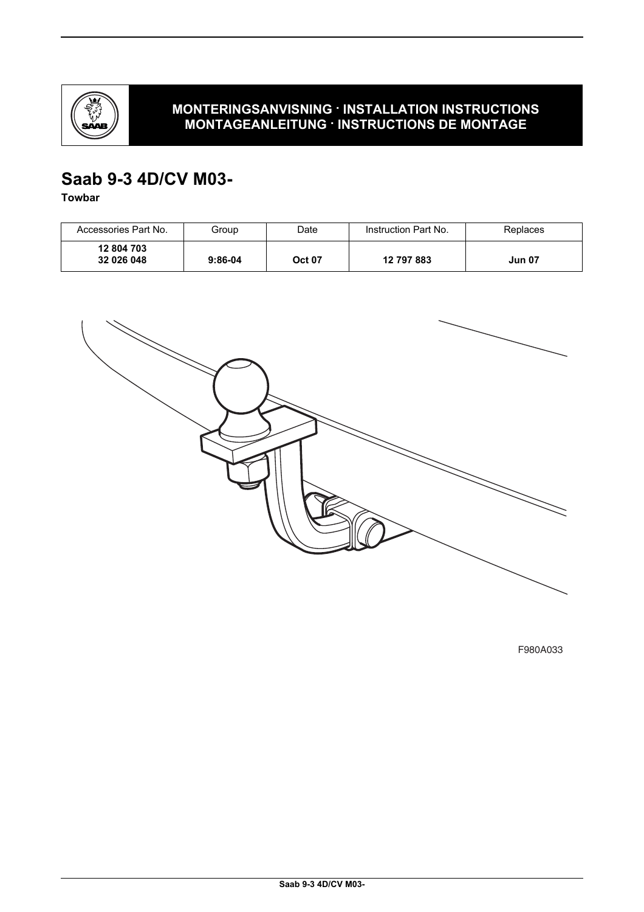

## **MONTERINGSANVISNING · INSTALLATION INSTRUCTIONS MONTAGEANLEITUNG · INSTRUCTIONS DE MONTAGE**

# **Saab 9-3 4D/CV M03-**

**Towbar**

| Accessories Part No.     | Group     | Date          | Instruction Part No. | Replaces      |
|--------------------------|-----------|---------------|----------------------|---------------|
| 12 804 703<br>32 026 048 | $9:86-04$ | <b>Oct 07</b> | 12 797 883           | <b>Jun 07</b> |



F980A033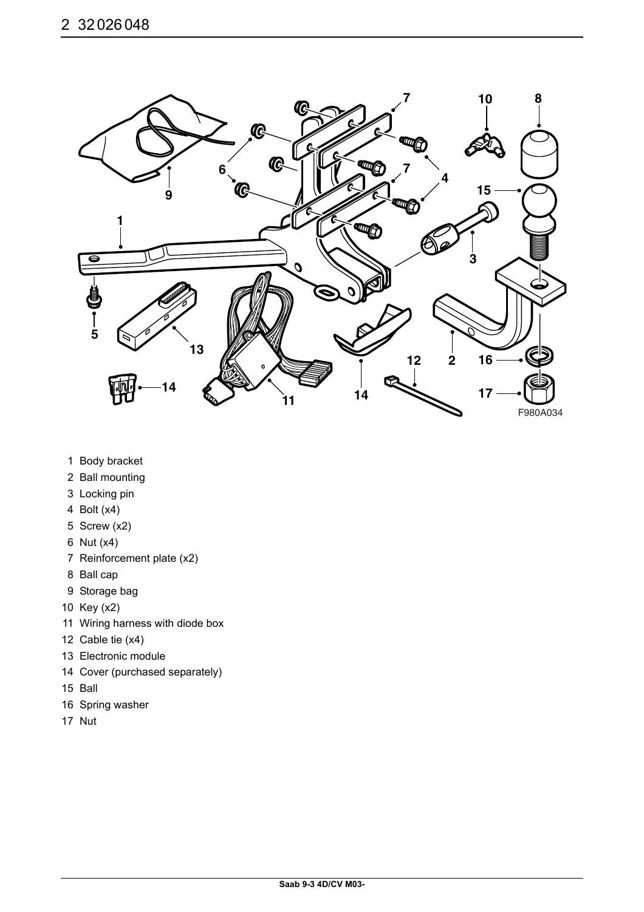

- 1 Body bracket
- 2 Ball mounting
- 3 Locking pin
- 4 Bolt (x4)
- 5 Screw (x2)
- 6 Nut (x4)
- 7 Reinforcement plate (x2)
- 8 Ball cap
- 9 Storage bag
- 10 Key (x2)
- 11 Wiring harness with diode box
- 12 Cable tie (x4)
- 13 Electronic module
- 14 Cover (purchased separately)
- 15 Ball
- 16 Spring washer
- 17 Nut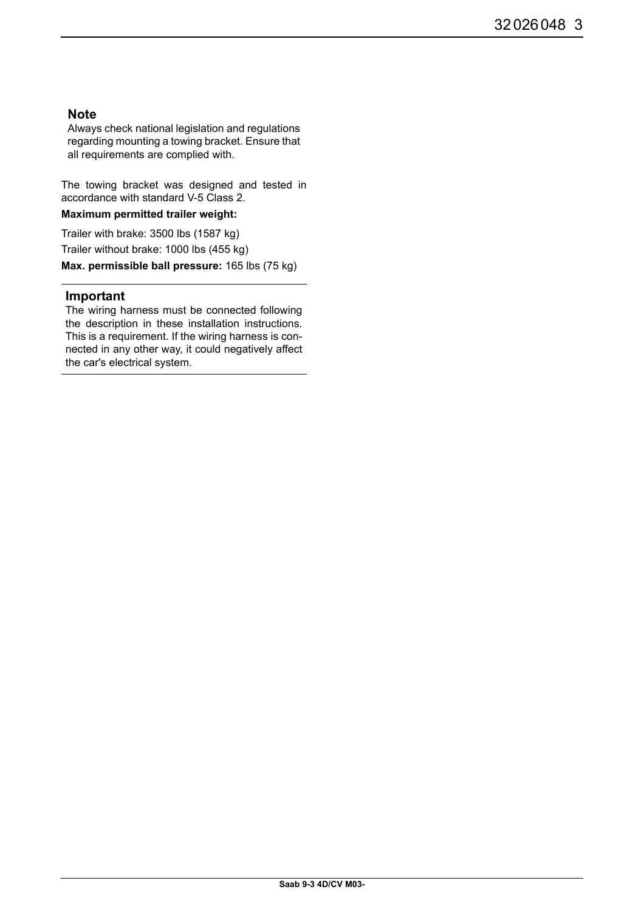## **Note**

Always check national legislation and regulations regarding mounting a towing bracket. Ensure that all requirements are complied with.

The towing bracket was designed and tested in accordance with standard V-5 Class 2.

### **Maximum permitted trailer weight:**

Trailer with brake: 3500 lbs (1587 kg) Trailer without brake: 1000 lbs (455 kg) **Max. permissible ball pressure:** 165 lbs (75 kg)

### **Important**

The wiring harness must be connected following the description in these installation instructions. This is a requirement. If the wiring harness is connected in any other way, it could negatively affect the car's electrical system.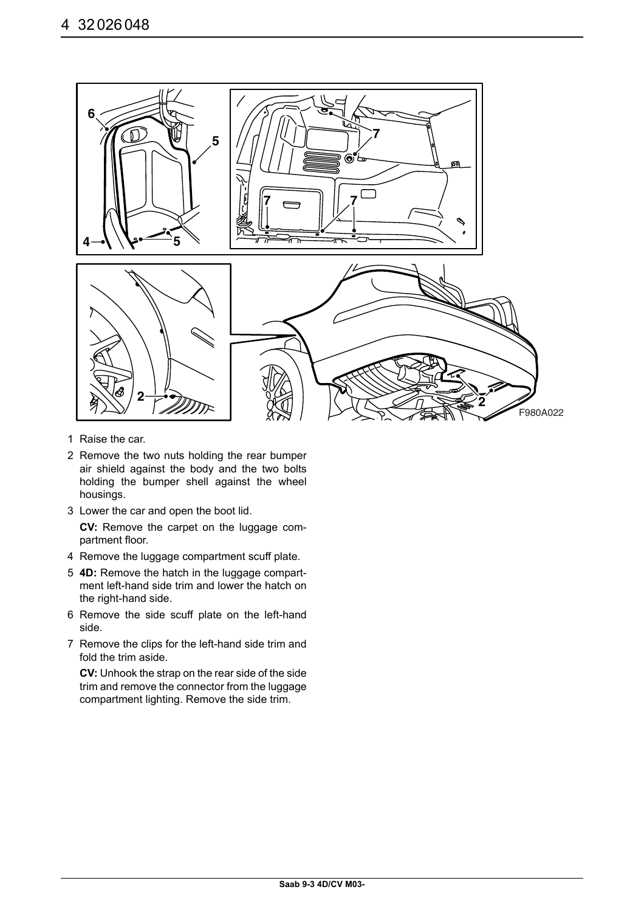

- 1 Raise the car.
- 2 Remove the two nuts holding the rear bumper air shield against the body and the two bolts holding the bumper shell against the wheel housings.
- 3 Lower the car and open the boot lid.
	- **CV:** Remove the carpet on the luggage compartment floor.
- 4 Remove the luggage compartment scuff plate.
- 5 **4D:** Remove the hatch in the luggage compartment left-hand side trim and lower the hatch on the right-hand side.
- 6 Remove the side scuff plate on the left-hand side.
- 7 Remove the clips for the left-hand side trim and fold the trim aside.

**CV:** Unhook the strap on the rear side of the side trim and remove the connector from the luggage compartment lighting. Remove the side trim.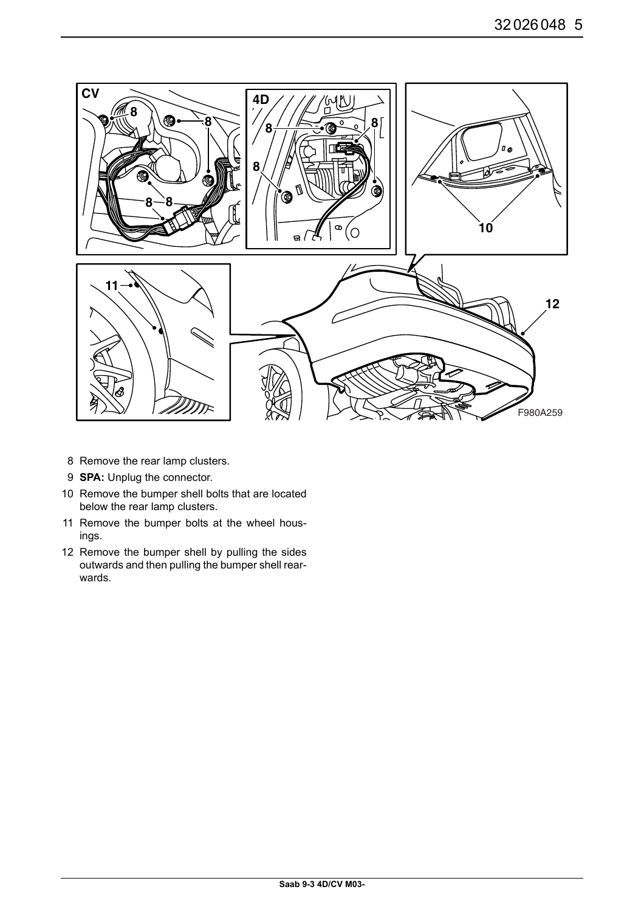

- 8 Remove the rear lamp clusters.
- 9 **SPA:** Unplug the connector.
- 10 Remove the bumper shell bolts that are located below the rear lamp clusters.
- 11 Remove the bumper bolts at the wheel housings.
- 12 Remove the bumper shell by pulling the sides outwards and then pulling the bumper shell rearwards.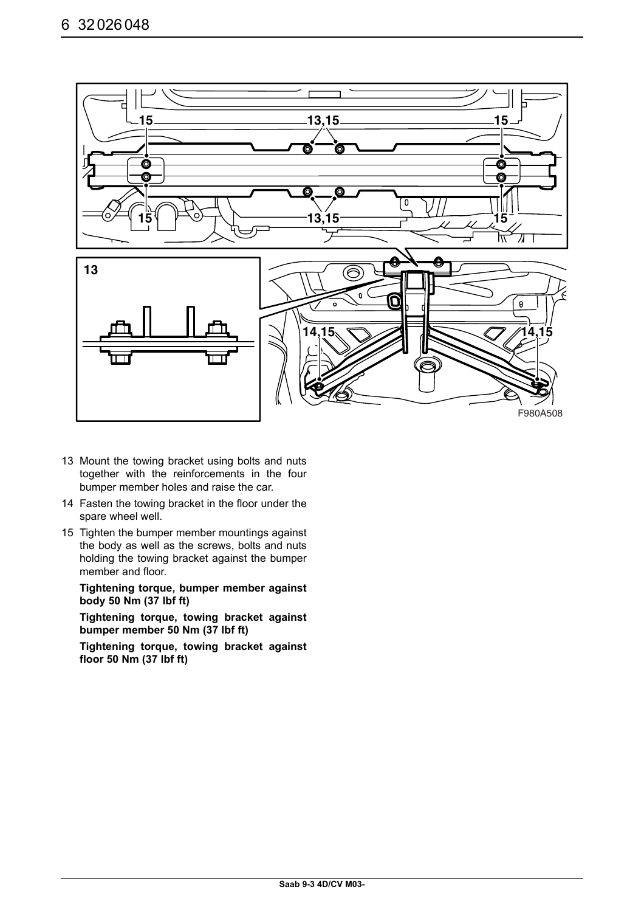

- 13 Mount the towing bracket using bolts and nuts together with the reinforcements in the four bumper member holes and raise the car.
- 14 Fasten the towing bracket in the floor under the spare wheel well.
- 15 Tighten the bumper member mountings against the body as well as the screws, bolts and nuts holding the towing bracket against the bumper member and floor.

**Tightening torque, bumper member against body 50 Nm (37 lbf ft)**

**Tightening torque, towing bracket against bumper member 50 Nm (37 lbf ft)**

**Tightening torque, towing bracket against floor 50 Nm (37 lbf ft)**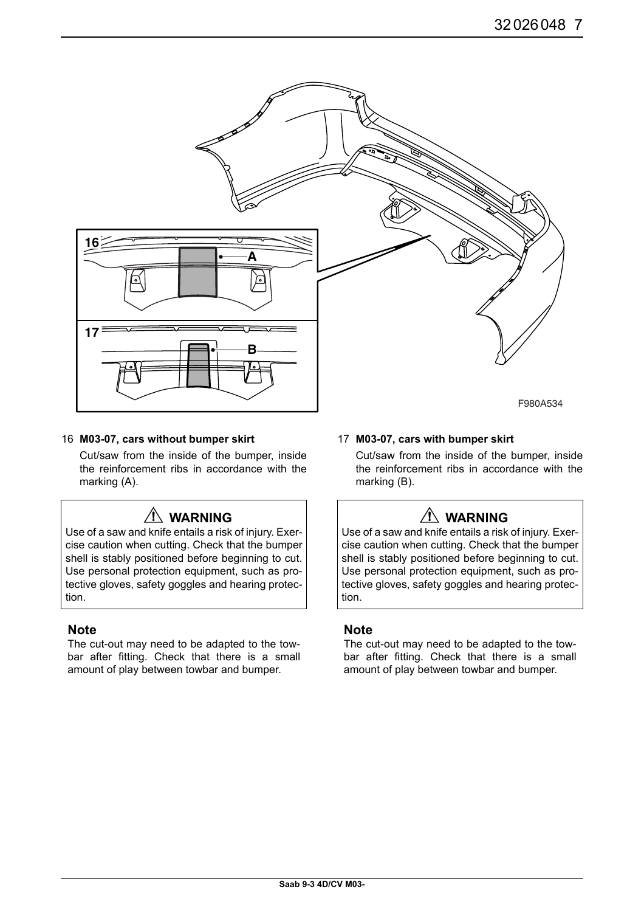

#### 16 **M03-07, cars without bumper skirt**

Cut/saw from the inside of the bumper, inside the reinforcement ribs in accordance with the marking (A).

## **WARNING**

Use of a saw and knife entails a risk of injury. Exercise caution when cutting. Check that the bumper shell is stably positioned before beginning to cut. Use personal protection equipment, such as protective gloves, safety goggles and hearing protection.

### **Note**

The cut-out may need to be adapted to the towbar after fitting. Check that there is a small amount of play between towbar and bumper.

#### 17 **M03-07, cars with bumper skirt**

Cut/saw from the inside of the bumper, inside the reinforcement ribs in accordance with the marking (B).

# **WARNING**

Use of a saw and knife entails a risk of injury. Exercise caution when cutting. Check that the bumper shell is stably positioned before beginning to cut. Use personal protection equipment, such as protective gloves, safety goggles and hearing protection.

### **Note**

The cut-out may need to be adapted to the towbar after fitting. Check that there is a small amount of play between towbar and bumper.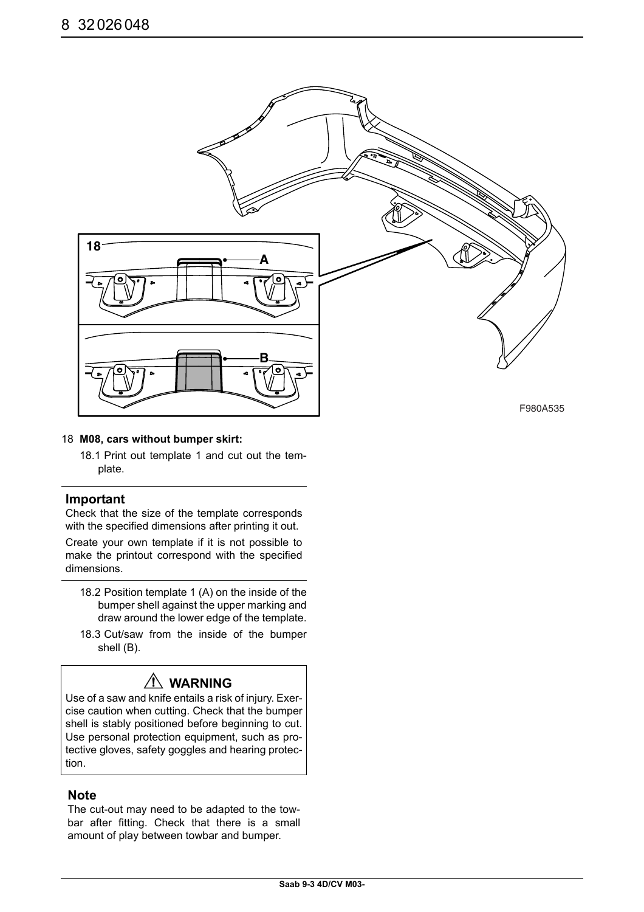

#### 18 **M08, cars without bumper skirt:**

18.1 Print out template 1 and cut out the template.

### **Important**

Check that the size of the template corresponds with the specified dimensions after printing it out.

Create your own template if it is not possible to make the printout correspond with the specified dimensions.

- 18.2 Position template 1 (A) on the inside of the bumper shell against the upper marking and draw around the lower edge of the template.
- 18.3 Cut/saw from the inside of the bumper shell (B).

# **WARNING**

Use of a saw and knife entails a risk of injury. Exercise caution when cutting. Check that the bumper shell is stably positioned before beginning to cut. Use personal protection equipment, such as protective gloves, safety goggles and hearing protection.

### **Note**

The cut-out may need to be adapted to the towbar after fitting. Check that there is a small amount of play between towbar and bumper.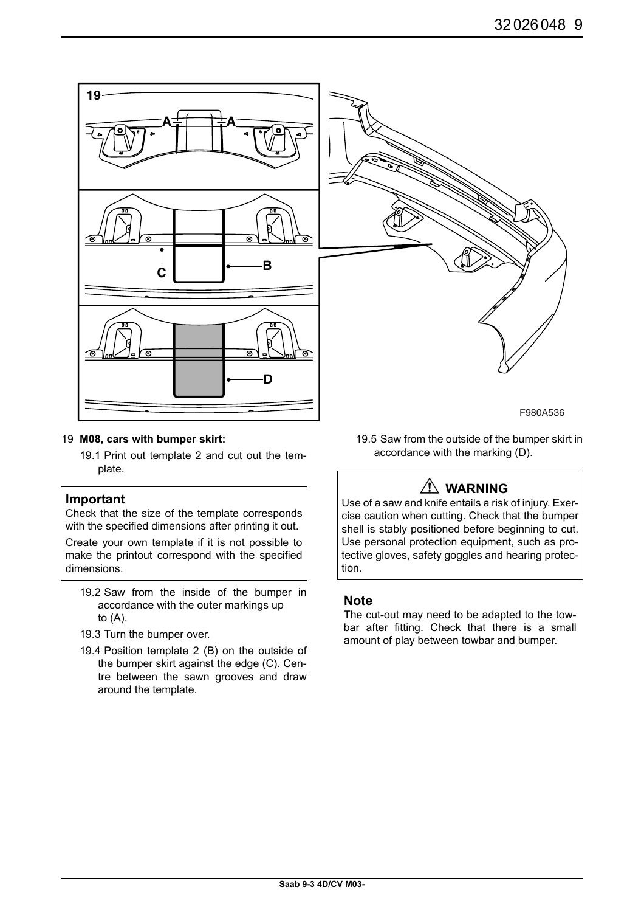

#### 19 **M08, cars with bumper skirt:**

19.1 Print out template 2 and cut out the template.

### **Important**

Check that the size of the template corresponds with the specified dimensions after printing it out.

Create your own template if it is not possible to make the printout correspond with the specified dimensions.

- 19.2 Saw from the inside of the bumper in accordance with the outer markings up to (A).
- 19.3 Turn the bumper over.
- 19.4 Position template 2 (B) on the outside of the bumper skirt against the edge (C). Centre between the sawn grooves and draw around the template.

19.5 Saw from the outside of the bumper skirt in accordance with the marking (D).

# **WARNING**

Use of a saw and knife entails a risk of injury. Exercise caution when cutting. Check that the bumper shell is stably positioned before beginning to cut. Use personal protection equipment, such as protective gloves, safety goggles and hearing protection.

### **Note**

The cut-out may need to be adapted to the towbar after fitting. Check that there is a small amount of play between towbar and bumper.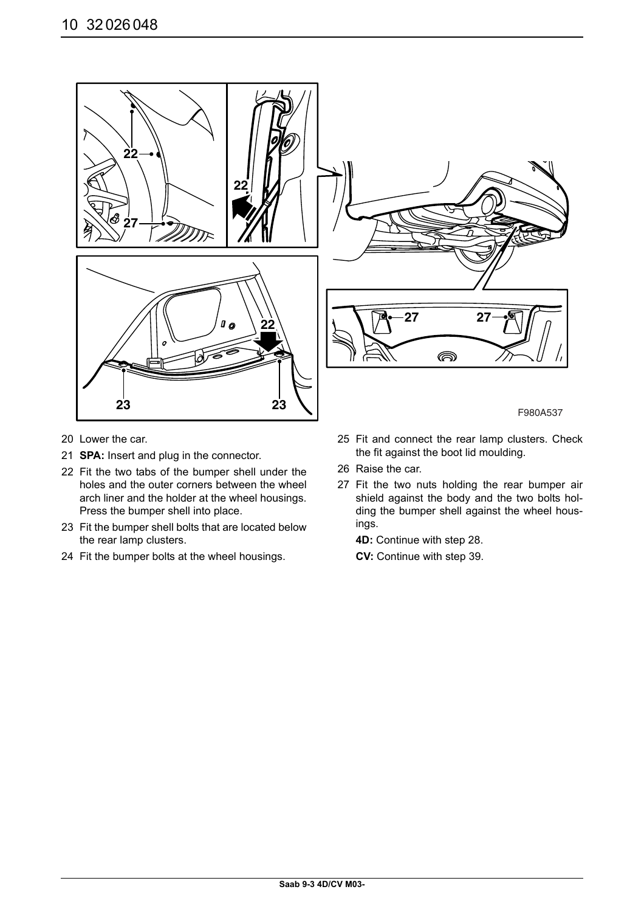

- 20 Lower the car.
- 21 **SPA:** Insert and plug in the connector.
- 22 Fit the two tabs of the bumper shell under the holes and the outer corners between the wheel arch liner and the holder at the wheel housings. Press the bumper shell into place.
- 23 Fit the bumper shell bolts that are located below the rear lamp clusters.
- 24 Fit the bumper bolts at the wheel housings.

25 Fit and connect the rear lamp clusters. Check the fit against the boot lid moulding.

- 26 Raise the car.
- 27 Fit the two nuts holding the rear bumper air shield against the body and the two bolts holding the bumper shell against the wheel housings.

**4D:** Continue with step 28.

**CV:** Continue with step 39.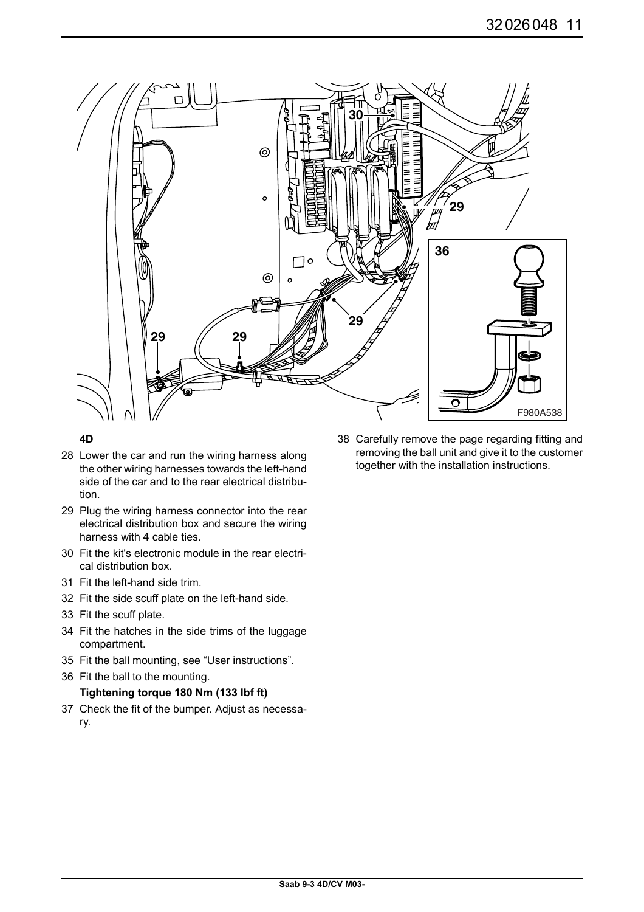

### **4D**

- 28 Lower the car and run the wiring harness along the other wiring harnesses towards the left-hand side of the car and to the rear electrical distribution.
- 29 Plug the wiring harness connector into the rear electrical distribution box and secure the wiring harness with 4 cable ties.
- 30 Fit the kit's electronic module in the rear electrical distribution box.
- 31 Fit the left-hand side trim.
- 32 Fit the side scuff plate on the left-hand side.
- 33 Fit the scuff plate.
- 34 Fit the hatches in the side trims of the luggage compartment.
- 35 Fit the ball mounting, see "User instructions".
- 36 Fit the ball to the mounting.

### **Tightening torque 180 Nm (133 lbf ft)**

37 Check the fit of the bumper. Adjust as necessary.

38 Carefully remove the page regarding fitting and removing the ball unit and give it to the customer together with the installation instructions.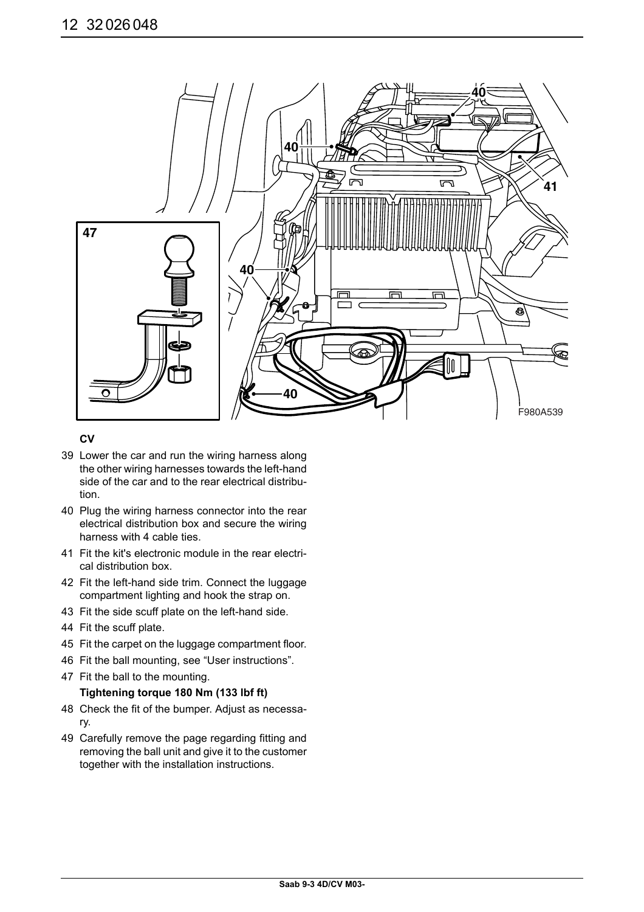

### **CV**

- 39 Lower the car and run the wiring harness along the other wiring harnesses towards the left-hand side of the car and to the rear electrical distribution.
- 40 Plug the wiring harness connector into the rear electrical distribution box and secure the wiring harness with 4 cable ties.
- 41 Fit the kit's electronic module in the rear electrical distribution box.
- 42 Fit the left-hand side trim. Connect the luggage compartment lighting and hook the strap on.
- 43 Fit the side scuff plate on the left-hand side.
- 44 Fit the scuff plate.
- 45 Fit the carpet on the luggage compartment floor.
- 46 Fit the ball mounting, see "User instructions".
- 47 Fit the ball to the mounting.

### **Tightening torque 180 Nm (133 lbf ft)**

- 48 Check the fit of the bumper. Adjust as necessary.
- 49 Carefully remove the page regarding fitting and removing the ball unit and give it to the customer together with the installation instructions.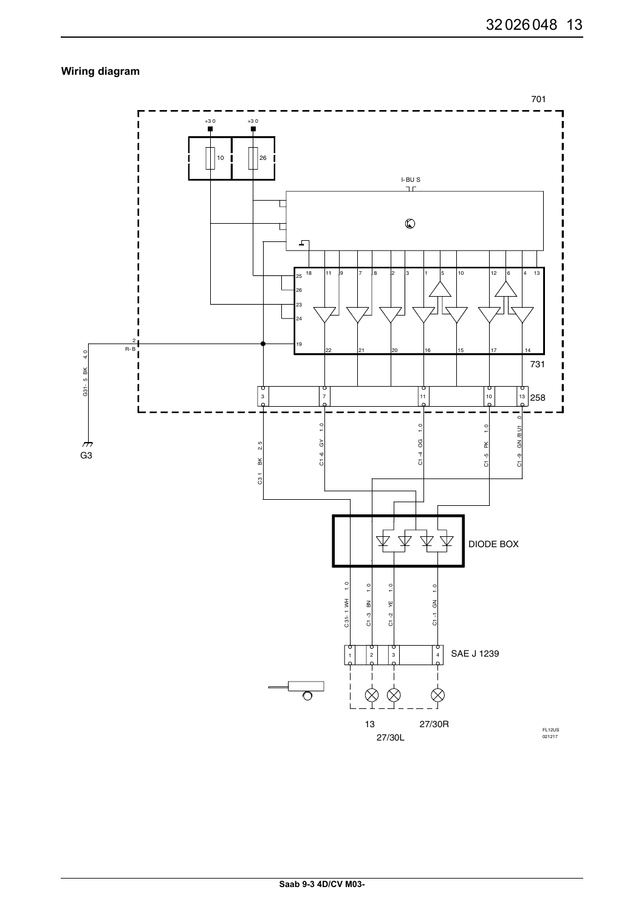## **Wiring diagram**

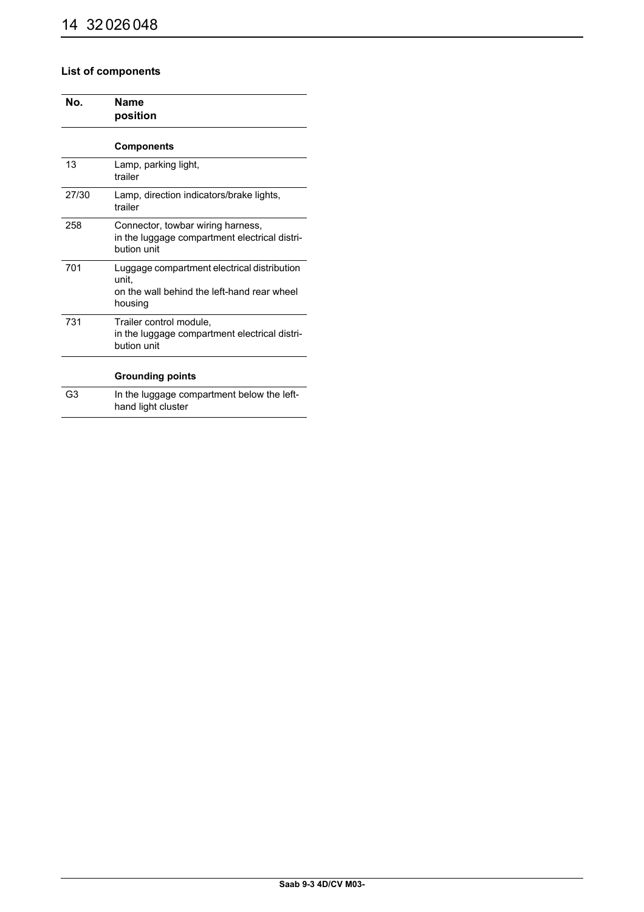## **List of components**

| Nο.   | Name<br>position                                                                                               |
|-------|----------------------------------------------------------------------------------------------------------------|
|       | <b>Components</b>                                                                                              |
| 13    | Lamp, parking light,<br>trailer                                                                                |
| 27/30 | Lamp, direction indicators/brake lights,<br>trailer                                                            |
| 258   | Connector, towbar wiring harness,<br>in the luggage compartment electrical distri-<br>bution unit              |
| 701   | Luggage compartment electrical distribution<br>unit.<br>on the wall behind the left-hand rear wheel<br>housing |
| 731   | Trailer control module,<br>in the luggage compartment electrical distri-<br>bution unit                        |
|       | <b>Grounding points</b>                                                                                        |
| G3    | In the luggage compartment below the left-<br>hand light cluster                                               |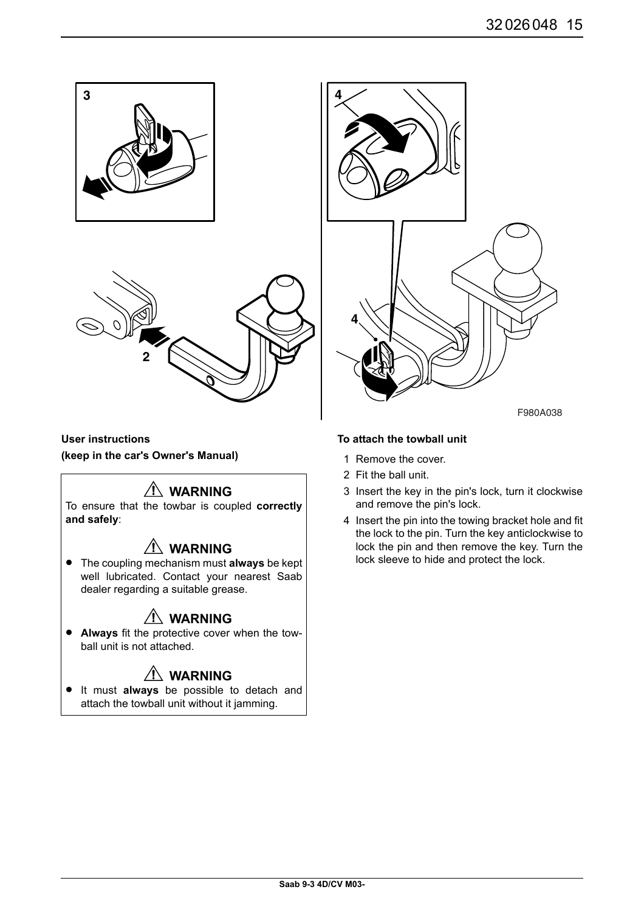

**User instructions (keep in the car's Owner's Manual)**

# $\Lambda$  WARNING

To ensure that the towbar is coupled **correctly and safely**:

# **WARNING**

• The coupling mechanism must **always** be kept well lubricated. Contact your nearest Saab dealer regarding a suitable grease.

# **WARNING**

• **Always** fit the protective cover when the towball unit is not attached.

# **WARNING**

• It must **always** be possible to detach and attach the towball unit without it jamming.

### **To attach the towball unit**

- 1 Remove the cover.
- 2 Fit the ball unit.
- 3 Insert the key in the pin's lock, turn it clockwise and remove the pin's lock.
- 4 Insert the pin into the towing bracket hole and fit the lock to the pin. Turn the key anticlockwise to lock the pin and then remove the key. Turn the lock sleeve to hide and protect the lock.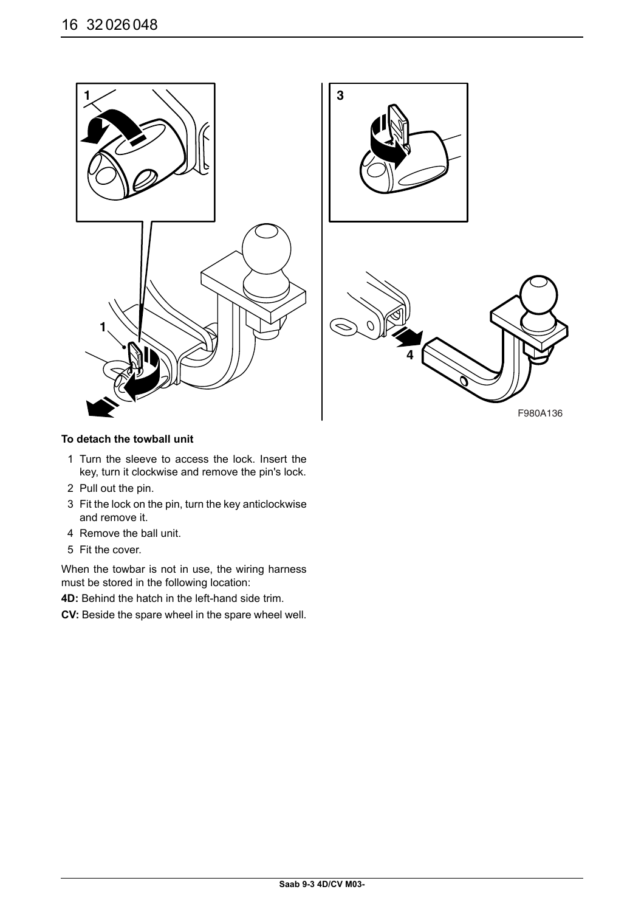

### **To detach the towball unit**

- 1 Turn the sleeve to access the lock. Insert the key, turn it clockwise and remove the pin's lock.
- 2 Pull out the pin.
- 3 Fit the lock on the pin, turn the key anticlockwise and remove it.
- 4 Remove the ball unit.
- 5 Fit the cover.

When the towbar is not in use, the wiring harness must be stored in the following location:

**4D:** Behind the hatch in the left-hand side trim.

**CV:** Beside the spare wheel in the spare wheel well.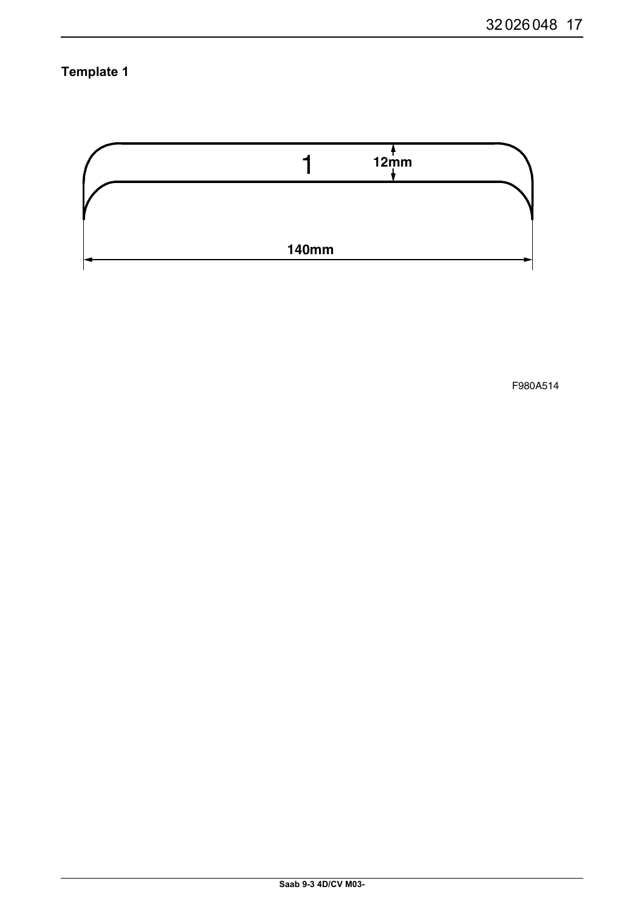**Template 1** 



F980A514